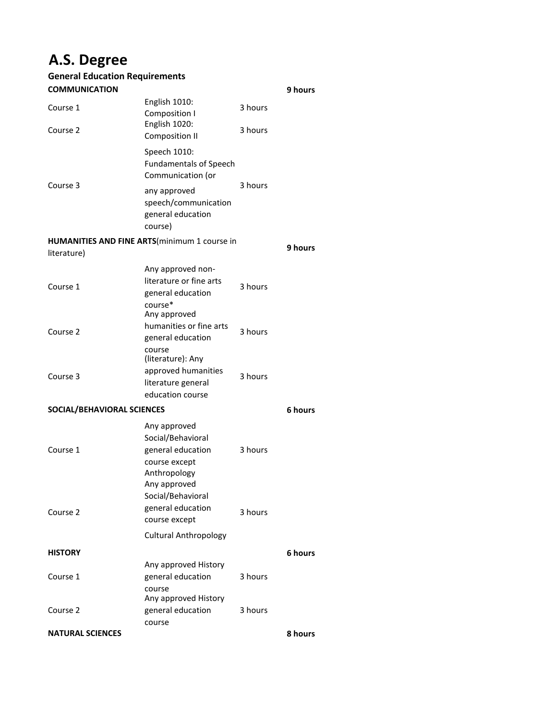## **A.S. Degree**

| <b>General Education Requirements</b> |                                                                                                                              |         |         |
|---------------------------------------|------------------------------------------------------------------------------------------------------------------------------|---------|---------|
| <b>COMMUNICATION</b>                  |                                                                                                                              |         | 9 hours |
| Course 1                              | English 1010:<br>Composition I                                                                                               | 3 hours |         |
| Course 2                              | English 1020:<br><b>Composition II</b>                                                                                       | 3 hours |         |
|                                       | Speech 1010:<br><b>Fundamentals of Speech</b><br>Communication (or                                                           |         |         |
| Course 3                              | any approved<br>speech/communication<br>general education<br>course)                                                         | 3 hours |         |
| literature)                           | <b>HUMANITIES AND FINE ARTS</b> (minimum 1 course in                                                                         |         | 9 hours |
| Course 1                              | Any approved non-<br>literature or fine arts<br>general education<br>course*                                                 | 3 hours |         |
| Course 2                              | Any approved<br>humanities or fine arts<br>general education<br>course<br>(literature): Any                                  | 3 hours |         |
| Course 3                              | approved humanities<br>literature general<br>education course                                                                | 3 hours |         |
| SOCIAL/BEHAVIORAL SCIENCES            |                                                                                                                              | 6 hours |         |
| Course 1                              | Any approved<br>Social/Behavioral<br>general education<br>course except<br>Anthropology<br>Any approved<br>Social/Behavioral | 3 hours |         |
| Course 2                              | general education<br>course except                                                                                           | 3 hours |         |
|                                       | <b>Cultural Anthropology</b>                                                                                                 |         |         |
| <b>HISTORY</b>                        |                                                                                                                              |         | 6 hours |
| Course 1                              | Any approved History<br>general education<br>course<br>Any approved History                                                  | 3 hours |         |
| Course 2                              | general education                                                                                                            | 3 hours |         |
| <b>NATURAL SCIENCES</b>               | course                                                                                                                       |         | 8 hours |